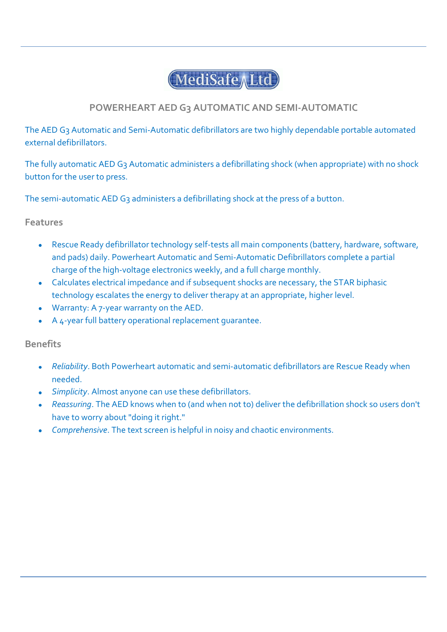# MediSafe Ltd

## **POWERHEART AED G3 AUTOMATIC AND SEMI-AUTOMATIC**

The AED G3 Automatic and Semi-Automatic defibrillators are two highly dependable portable automated external defibrillators.

The fully automatic AED G3 Automatic administers a defibrillating shock (when appropriate) with no shock button for the user to press.

The semi-automatic AED G<sub>3</sub> administers a defibrillating shock at the press of a button.

#### **Features**

- Rescue Ready defibrillator technology self-tests all main components (battery, hardware, software,  $\bullet$ and pads) daily. Powerheart Automatic and Semi-Automatic Defibrillators complete a partial charge of the high-voltage electronics weekly, and a full charge monthly.
- Calculates electrical impedance and if subsequent shocks are necessary, the STAR biphasic technology escalates the energy to deliver therapy at an appropriate, higher level.
- Warranty: A 7-year warranty on the AED.
- A 4-year full battery operational replacement guarantee.

### **Benefits**

- *Reliability*. Both Powerheart automatic and semi-automatic defibrillators are Rescue Ready when needed.
- *Simplicity*. Almost anyone can use these defibrillators.
- *Reassuring*. The AED knows when to (and when not to) deliver the defibrillation shock so users don't have to worry about "doing it right."
- *Comprehensive*. The text screen is helpful in noisy and chaotic environments. $\bullet$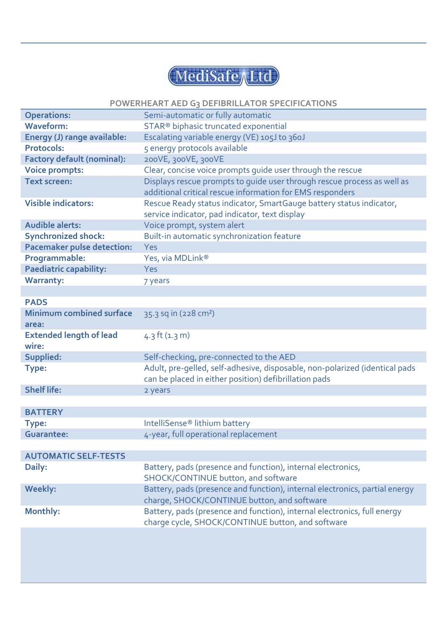

#### **POWERHEART AED G3 DEFIBRILLATOR SPECIFICATIONS**

| <b>Operations:</b>                | Semi-automatic or fully automatic                                           |
|-----------------------------------|-----------------------------------------------------------------------------|
| <b>Waveform:</b>                  | STAR <sup>®</sup> biphasic truncated exponential                            |
| Energy (J) range available:       | Escalating variable energy (VE) 105J to 360J                                |
| <b>Protocols:</b>                 | 5 energy protocols available                                                |
| <b>Factory default (nominal):</b> | 200VE, 300VE, 300VE                                                         |
| <b>Voice prompts:</b>             | Clear, concise voice prompts guide user through the rescue                  |
| <b>Text screen:</b>               | Displays rescue prompts to guide user through rescue process as well as     |
|                                   | additional critical rescue information for EMS responders                   |
| <b>Visible indicators:</b>        | Rescue Ready status indicator, SmartGauge battery status indicator,         |
|                                   | service indicator, pad indicator, text display                              |
| <b>Audible alerts:</b>            | Voice prompt, system alert                                                  |
| <b>Synchronized shock:</b>        | Built-in automatic synchronization feature                                  |
| <b>Pacemaker pulse detection:</b> | Yes                                                                         |
| Programmable:                     | Yes, via MDLink®                                                            |
| <b>Paediatric capability:</b>     | <b>Yes</b>                                                                  |
| <b>Warranty:</b>                  | 7 years                                                                     |
|                                   |                                                                             |
| <b>PADS</b>                       |                                                                             |
| <b>Minimum combined surface</b>   | 35.3 sq in (228 cm <sup>2</sup> )                                           |
| area:                             |                                                                             |
| <b>Extended length of lead</b>    | $4.3$ ft $(1.3)$ m)                                                         |
| wire:                             |                                                                             |
| Supplied:                         | Self-checking, pre-connected to the AED                                     |
| Type:                             | Adult, pre-gelled, self-adhesive, disposable, non-polarized (identical pads |
|                                   | can be placed in either position) defibrillation pads                       |
| <b>Shelf life:</b>                | 2 years                                                                     |
|                                   |                                                                             |
| <b>BATTERY</b>                    |                                                                             |
| Type:                             | IntelliSense <sup>®</sup> lithium battery                                   |
| <b>Guarantee:</b>                 | 4-year, full operational replacement                                        |
|                                   |                                                                             |
| <b>AUTOMATIC SELF-TESTS</b>       |                                                                             |
| Daily:                            | Battery, pads (presence and function), internal electronics,                |
|                                   | SHOCK/CONTINUE button, and software                                         |
| <b>Weekly:</b>                    | Battery, pads (presence and function), internal electronics, partial energy |
|                                   | charge, SHOCK/CONTINUE button, and software                                 |
| Monthly:                          | Battery, pads (presence and function), internal electronics, full energy    |
|                                   | charge cycle, SHOCK/CONTINUE button, and software                           |
|                                   |                                                                             |